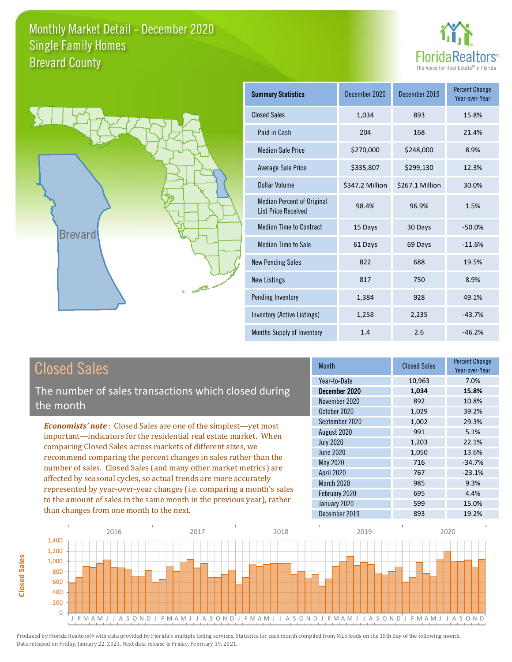



| <b>Summary Statistics</b>                                       | December 2020   | December 2019   | <b>Percent Change</b><br>Year-over-Year |
|-----------------------------------------------------------------|-----------------|-----------------|-----------------------------------------|
| <b>Closed Sales</b>                                             | 1,034           | 893             | 15.8%                                   |
| Paid in Cash                                                    | 204             | 168             | 21.4%                                   |
| <b>Median Sale Price</b>                                        | \$270,000       | \$248,000       | 8.9%                                    |
| Average Sale Price                                              | \$335,807       | \$299,130       | 12.3%                                   |
| Dollar Volume                                                   | \$347.2 Million | \$267.1 Million | 30.0%                                   |
| <b>Median Percent of Original</b><br><b>List Price Received</b> | 98.4%           | 96.9%           | 1.5%                                    |
| <b>Median Time to Contract</b>                                  | 15 Days         | 30 Days         | $-50.0%$                                |
| <b>Median Time to Sale</b>                                      | 61 Days         | 69 Days         | $-11.6%$                                |
| <b>New Pending Sales</b>                                        | 822             | 688             | 19.5%                                   |
| <b>New Listings</b>                                             | 817             | 750             | 8.9%                                    |
| Pending Inventory                                               | 1,384           | 928             | 49.1%                                   |
| Inventory (Active Listings)                                     | 1,258           | 2,235           | $-43.7%$                                |
| Months Supply of Inventory                                      | 1.4             | 2.6             | $-46.2%$                                |

The number of sales transactions which closed during the month

*Economists' note* : Closed Sales are one of the simplest—yet most important—indicators for the residential real estate market. When comparing Closed Sales across markets of different sizes, we recommend comparing the percent changes in sales rather than the number of sales. Closed Sales (and many other market metrics) are affected by seasonal cycles, so actual trends are more accurately represented by year-over-year changes (i.e. comparing a month's sales to the amount of sales in the same month in the previous year), rather than changes from one month to the next.

| <b>Month</b>      | <b>Closed Sales</b> | <b>Percent Change</b><br>Year-over-Year |
|-------------------|---------------------|-----------------------------------------|
| Year-to-Date      | 10,963              | 7.0%                                    |
| December 2020     | 1,034               | 15.8%                                   |
| November 2020     | 892                 | 10.8%                                   |
| October 2020      | 1,029               | 39.2%                                   |
| September 2020    | 1,002               | 29.3%                                   |
| August 2020       | 991                 | 5.1%                                    |
| <b>July 2020</b>  | 1,203               | 22.1%                                   |
| June 2020         | 1,050               | 13.6%                                   |
| May 2020          | 716                 | $-34.7%$                                |
| <b>April 2020</b> | 767                 | $-23.1%$                                |
| March 2020        | 985                 | 9.3%                                    |
| February 2020     | 695                 | 4.4%                                    |
| January 2020      | 599                 | 15.0%                                   |
| December 2019     | 893                 | 19.2%                                   |

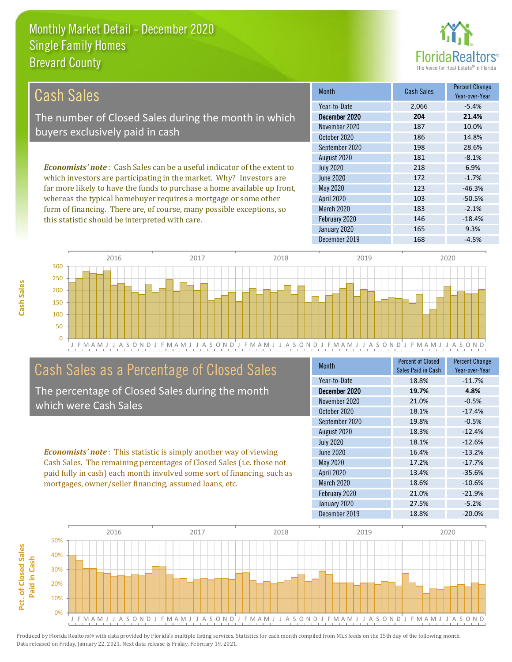this statistic should be interpreted with care.



146 -18.4%

| Cash Sales                                                                     | <b>Month</b>      | <b>Cash Sales</b> | <b>Percent Change</b><br>Year-over-Year |
|--------------------------------------------------------------------------------|-------------------|-------------------|-----------------------------------------|
|                                                                                | Year-to-Date      | 2,066             | $-5.4%$                                 |
| The number of Closed Sales during the month in which                           | December 2020     | 204               | 21.4%                                   |
| buyers exclusively paid in cash                                                | November 2020     | 187               | 10.0%                                   |
|                                                                                | October 2020      | 186               | 14.8%                                   |
|                                                                                | September 2020    | 198               | 28.6%                                   |
|                                                                                | August 2020       | 181               | $-8.1%$                                 |
| <b>Economists' note:</b> Cash Sales can be a useful indicator of the extent to | <b>July 2020</b>  | 218               | 6.9%                                    |
| which investors are participating in the market. Why? Investors are            | June 2020         | 172               | $-1.7%$                                 |
| far more likely to have the funds to purchase a home available up front,       | May 2020          | 123               | $-46.3%$                                |
| whereas the typical homebuyer requires a mortgage or some other                | <b>April 2020</b> | 103               | $-50.5%$                                |
| form of financing. There are, of course, many possible exceptions, so          | <b>March 2020</b> | 183               | $-2.1%$                                 |



# Cash Sales as a Percentage of Closed Sales

The percentage of Closed Sales during the month which were Cash Sales

*Economists' note* : This statistic is simply another way of viewing Cash Sales. The remaining percentages of Closed Sales (i.e. those not paid fully in cash) each month involved some sort of financing, such as mortgages, owner/seller financing, assumed loans, etc.

| <b>Month</b>      | Percent of Closed<br>Sales Paid in Cash | <b>Percent Change</b><br>Year-over-Year |
|-------------------|-----------------------------------------|-----------------------------------------|
| Year-to-Date      | 18.8%                                   | $-11.7%$                                |
| December 2020     | 19.7%                                   | 4.8%                                    |
| November 2020     | 21.0%                                   | $-0.5%$                                 |
| October 2020      | 18.1%                                   | $-17.4%$                                |
| September 2020    | 19.8%                                   | $-0.5%$                                 |
| August 2020       | 18.3%                                   | $-12.4%$                                |
| <b>July 2020</b>  | 18.1%                                   | $-12.6%$                                |
| <b>June 2020</b>  | 16.4%                                   | $-13.2%$                                |
| May 2020          | 17.2%                                   | $-17.7%$                                |
| <b>April 2020</b> | 13.4%                                   | $-35.6%$                                |
| March 2020        | 18.6%                                   | $-10.6%$                                |
| February 2020     | 21.0%                                   | $-21.9%$                                |
| January 2020      | 27.5%                                   | $-5.2%$                                 |
| December 2019     | 18.8%                                   | $-20.0%$                                |

December 2019 168 -4.5%

January 2020 165 165 9.3%

February 2020

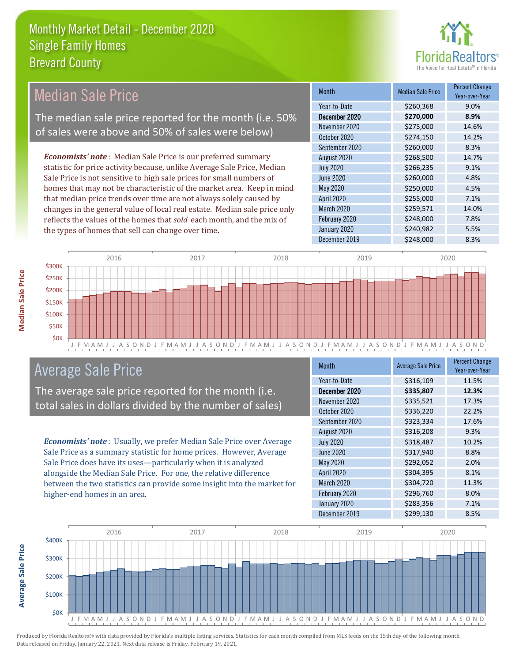

# Median Sale Price

The median sale price reported for the month (i.e. 50% of sales were above and 50% of sales were below)

*Economists' note* : Median Sale Price is our preferred summary statistic for price activity because, unlike Average Sale Price, Median Sale Price is not sensitive to high sale prices for small numbers of homes that may not be characteristic of the market area. Keep in mind that median price trends over time are not always solely caused by changes in the general value of local real estate. Median sale price only reflects the values of the homes that *sold* each month, and the mix of the types of homes that sell can change over time.

| <b>Month</b>      | <b>Median Sale Price</b> | <b>Percent Change</b><br>Year-over-Year |
|-------------------|--------------------------|-----------------------------------------|
| Year-to-Date      | \$260,368                | 9.0%                                    |
| December 2020     | \$270,000                | 8.9%                                    |
| November 2020     | \$275,000                | 14.6%                                   |
| October 2020      | \$274,150                | 14.2%                                   |
| September 2020    | \$260,000                | 8.3%                                    |
| August 2020       | \$268,500                | 14.7%                                   |
| <b>July 2020</b>  | \$266,235                | 9.1%                                    |
| <b>June 2020</b>  | \$260,000                | 4.8%                                    |
| May 2020          | \$250,000                | 4.5%                                    |
| <b>April 2020</b> | \$255,000                | 7.1%                                    |
| March 2020        | \$259,571                | 14.0%                                   |
| February 2020     | \$248,000                | 7.8%                                    |
| January 2020      | \$240,982                | 5.5%                                    |
| December 2019     | \$248,000                | 8.3%                                    |



### Average Sale Price

The average sale price reported for the month (i.e. total sales in dollars divided by the number of sales)

*Economists' note* : Usually, we prefer Median Sale Price over Average Sale Price as a summary statistic for home prices. However, Average Sale Price does have its uses—particularly when it is analyzed alongside the Median Sale Price. For one, the relative difference between the two statistics can provide some insight into the market for higher-end homes in an area.

| <b>Month</b>      | <b>Average Sale Price</b> | <b>Percent Change</b><br>Year-over-Year |
|-------------------|---------------------------|-----------------------------------------|
| Year-to-Date      | \$316,109                 | 11.5%                                   |
| December 2020     | \$335,807                 | 12.3%                                   |
| November 2020     | \$335,521                 | 17.3%                                   |
| October 2020      | \$336,220                 | 22.2%                                   |
| September 2020    | \$323,334                 | 17.6%                                   |
| August 2020       | \$316,208                 | 9.3%                                    |
| <b>July 2020</b>  | \$318,487                 | 10.2%                                   |
| <b>June 2020</b>  | \$317,940                 | 8.8%                                    |
| May 2020          | \$292,052                 | 2.0%                                    |
| <b>April 2020</b> | \$304,395                 | 8.1%                                    |
| March 2020        | \$304,720                 | 11.3%                                   |
| February 2020     | \$296,760                 | 8.0%                                    |
| January 2020      | \$283,356                 | 7.1%                                    |
| December 2019     | \$299,130                 | 8.5%                                    |



Produced by Florida Realtors® with data provided by Florida's multiple listing services. Statistics for each month compiled from MLS feeds on the 15th day of the following month. Data released on Friday, January 22, 2021. Next data release is Friday, February 19, 2021.

**Average Sale Price**

Average Sale Price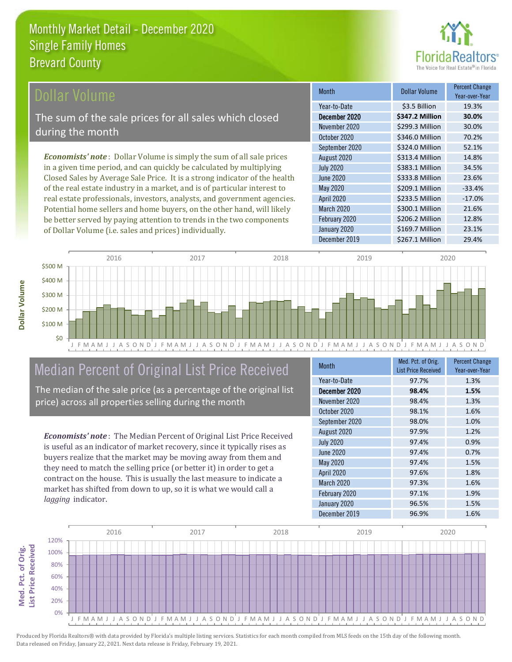

#### ollar Volume

The sum of the sale prices for all sales which closed during the month

*Economists' note* : Dollar Volume is simply the sum of all sale prices in a given time period, and can quickly be calculated by multiplying Closed Sales by Average Sale Price. It is a strong indicator of the health of the real estate industry in a market, and is of particular interest to real estate professionals, investors, analysts, and government agencies. Potential home sellers and home buyers, on the other hand, will likely be better served by paying attention to trends in the two components of Dollar Volume (i.e. sales and prices) individually.

| <b>Month</b>      | Dollar Volume   | <b>Percent Change</b><br>Year-over-Year |
|-------------------|-----------------|-----------------------------------------|
| Year-to-Date      | \$3.5 Billion   | 19.3%                                   |
| December 2020     | \$347.2 Million | 30.0%                                   |
| November 2020     | \$299.3 Million | 30.0%                                   |
| October 2020      | \$346.0 Million | 70.2%                                   |
| September 2020    | \$324.0 Million | 52.1%                                   |
| August 2020       | \$313.4 Million | 14.8%                                   |
| <b>July 2020</b>  | \$383.1 Million | 34.5%                                   |
| <b>June 2020</b>  | \$333.8 Million | 23.6%                                   |
| <b>May 2020</b>   | \$209.1 Million | $-33.4%$                                |
| <b>April 2020</b> | \$233.5 Million | $-17.0%$                                |
| <b>March 2020</b> | \$300.1 Million | 21.6%                                   |
| February 2020     | \$206.2 Million | 12.8%                                   |
| January 2020      | \$169.7 Million | 23.1%                                   |
| December 2019     | \$267.1 Million | 29.4%                                   |



# Median Percent of Original List Price Received

The median of the sale price (as a percentage of the original list price) across all properties selling during the month

*Economists' note* : The Median Percent of Original List Price Received is useful as an indicator of market recovery, since it typically rises as buyers realize that the market may be moving away from them and they need to match the selling price (or better it) in order to get a contract on the house. This is usually the last measure to indicate a market has shifted from down to up, so it is what we would call a *lagging* indicator.

| <b>Month</b>      | Med. Pct. of Orig.<br><b>List Price Received</b> | <b>Percent Change</b><br>Year-over-Year |
|-------------------|--------------------------------------------------|-----------------------------------------|
| Year-to-Date      | 97.7%                                            | 1.3%                                    |
| December 2020     | 98.4%                                            | 1.5%                                    |
| November 2020     | 98.4%                                            | 1.3%                                    |
| October 2020      | 98.1%                                            | 1.6%                                    |
| September 2020    | 98.0%                                            | 1.0%                                    |
| August 2020       | 97.9%                                            | 1.2%                                    |
| <b>July 2020</b>  | 97.4%                                            | 0.9%                                    |
| <b>June 2020</b>  | 97.4%                                            | 0.7%                                    |
| <b>May 2020</b>   | 97.4%                                            | 1.5%                                    |
| <b>April 2020</b> | 97.6%                                            | 1.8%                                    |
| <b>March 2020</b> | 97.3%                                            | 1.6%                                    |
| February 2020     | 97.1%                                            | 1.9%                                    |
| January 2020      | 96.5%                                            | 1.5%                                    |
| December 2019     | 96.9%                                            | 1.6%                                    |



**Med. Pct. of Orig.** 

Med. Pct. of Orig.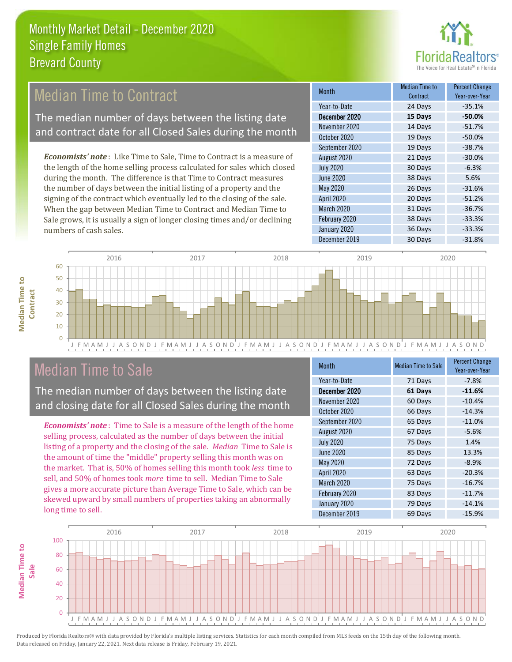

# Median Time to Contract

The median number of days between the listing date and contract date for all Closed Sales during the month

*Economists' note* : Like Time to Sale, Time to Contract is a measure of the length of the home selling process calculated for sales which closed during the month. The difference is that Time to Contract measures the number of days between the initial listing of a property and the signing of the contract which eventually led to the closing of the sale. When the gap between Median Time to Contract and Median Time to Sale grows, it is usually a sign of longer closing times and/or declining numbers of cash sales.

| Month             | <b>Median Time to</b><br>Contract | <b>Percent Change</b><br>Year-over-Year |
|-------------------|-----------------------------------|-----------------------------------------|
| Year-to-Date      | 24 Days                           | $-35.1%$                                |
| December 2020     | 15 Days                           | $-50.0%$                                |
| November 2020     | 14 Days                           | $-51.7%$                                |
| October 2020      | 19 Days                           | $-50.0%$                                |
| September 2020    | 19 Days                           | $-38.7%$                                |
| August 2020       | 21 Days                           | $-30.0%$                                |
| <b>July 2020</b>  | 30 Days                           | $-6.3%$                                 |
| <b>June 2020</b>  | 38 Days                           | 5.6%                                    |
| <b>May 2020</b>   | 26 Days                           | $-31.6%$                                |
| <b>April 2020</b> | 20 Days                           | $-51.2%$                                |
| March 2020        | 31 Days                           | $-36.7%$                                |
| February 2020     | 38 Days                           | $-33.3%$                                |
| January 2020      | 36 Days                           | $-33.3%$                                |
| December 2019     | 30 Days                           | $-31.8%$                                |



## Median Time to Sale

**Median Time to** 

**Median Time to** 

The median number of days between the listing date and closing date for all Closed Sales during the month

*Economists' note* : Time to Sale is a measure of the length of the home selling process, calculated as the number of days between the initial listing of a property and the closing of the sale. *Median* Time to Sale is the amount of time the "middle" property selling this month was on the market. That is, 50% of homes selling this month took *less* time to sell, and 50% of homes took *more* time to sell. Median Time to Sale gives a more accurate picture than Average Time to Sale, which can be skewed upward by small numbers of properties taking an abnormally long time to sell.

| Month             | <b>Median Time to Sale</b> | <b>Percent Change</b><br>Year-over-Year |
|-------------------|----------------------------|-----------------------------------------|
| Year-to-Date      | 71 Days                    | $-7.8%$                                 |
| December 2020     | 61 Days                    | $-11.6%$                                |
| November 2020     | 60 Days                    | $-10.4%$                                |
| October 2020      | 66 Days                    | $-14.3%$                                |
| September 2020    | 65 Days                    | $-11.0%$                                |
| August 2020       | 67 Days                    | $-5.6%$                                 |
| <b>July 2020</b>  | 75 Days                    | 1.4%                                    |
| <b>June 2020</b>  | 85 Days                    | 13.3%                                   |
| <b>May 2020</b>   | 72 Days                    | $-8.9%$                                 |
| <b>April 2020</b> | 63 Days                    | $-20.3%$                                |
| March 2020        | 75 Days                    | $-16.7%$                                |
| February 2020     | 83 Days                    | $-11.7%$                                |
| January 2020      | 79 Days                    | $-14.1%$                                |
| December 2019     | 69 Days                    | $-15.9%$                                |

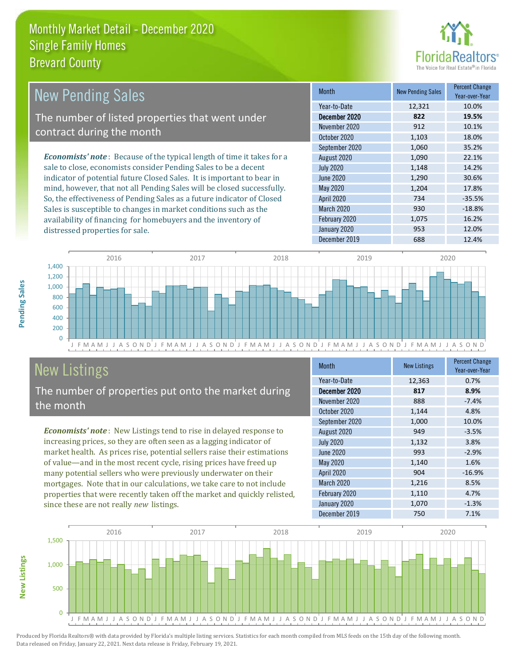

| New Pending Sales                                                              | <b>Month</b>      | <b>New Pending Sales</b> | <b>Percent Change</b><br>Year-over-Year |
|--------------------------------------------------------------------------------|-------------------|--------------------------|-----------------------------------------|
|                                                                                | Year-to-Date      | 12,321                   | 10.0%                                   |
| The number of listed properties that went under                                | December 2020     | 822                      | 19.5%                                   |
| contract during the month                                                      | November 2020     | 912                      | 10.1%                                   |
|                                                                                | October 2020      | 1.103                    | 18.0%                                   |
|                                                                                | September 2020    | 1.060                    | 35.2%                                   |
| <b>Economists' note</b> : Because of the typical length of time it takes for a | August 2020       | 1,090                    | 22.1%                                   |
| sale to close, economists consider Pending Sales to be a decent                | <b>July 2020</b>  | 1.148                    | 14.2%                                   |
| indicator of potential future Closed Sales. It is important to bear in         | June 2020         | 1.290                    | 30.6%                                   |
| mind, however, that not all Pending Sales will be closed successfully.         | May 2020          | 1.204                    | 17.8%                                   |
| So, the effectiveness of Pending Sales as a future indicator of Closed         | <b>April 2020</b> | 734                      | $-35.5%$                                |

J F M A M J J A S O N D J F M A M J J A S O N D J F M A M J J A S O N D J F M A M J J A S O N D J F M A M J J A S O N D  $\overline{0}$ 200 400 600 800 1,000 1,200 1,400 2016 2017 2018 2019 2020

# New Listings

distressed properties for sale.

The number of properties put onto the market during the month

Sales is susceptible to changes in market conditions such as the availability of financing for homebuyers and the inventory of

*Economists' note* : New Listings tend to rise in delayed response to increasing prices, so they are often seen as a lagging indicator of market health. As prices rise, potential sellers raise their estimations of value—and in the most recent cycle, rising prices have freed up many potential sellers who were previously underwater on their mortgages. Note that in our calculations, we take care to not include properties that were recently taken off the market and quickly relisted, since these are not really *new* listings.

| <b>Month</b>      | <b>New Listings</b> | <b>Percent Change</b><br>Year-over-Year |
|-------------------|---------------------|-----------------------------------------|
| Year-to-Date      | 12,363              | 0.7%                                    |
| December 2020     | 817                 | 8.9%                                    |
| November 2020     | 888                 | $-7.4%$                                 |
| October 2020      | 1,144               | 4.8%                                    |
| September 2020    | 1,000               | 10.0%                                   |
| August 2020       | 949                 | $-3.5%$                                 |
| <b>July 2020</b>  | 1,132               | 3.8%                                    |
| <b>June 2020</b>  | 993                 | $-2.9%$                                 |
| May 2020          | 1,140               | 1.6%                                    |
| <b>April 2020</b> | 904                 | $-16.9%$                                |
| March 2020        | 1,216               | 8.5%                                    |
| February 2020     | 1,110               | 4.7%                                    |
| January 2020      | 1,070               | $-1.3%$                                 |
| December 2019     | 750                 | 7.1%                                    |

March 2020 930 -18.8% February 2020 1,075 16.2% January 2020 953 12.0% December 2019 **688** 12.4%



**New Listings**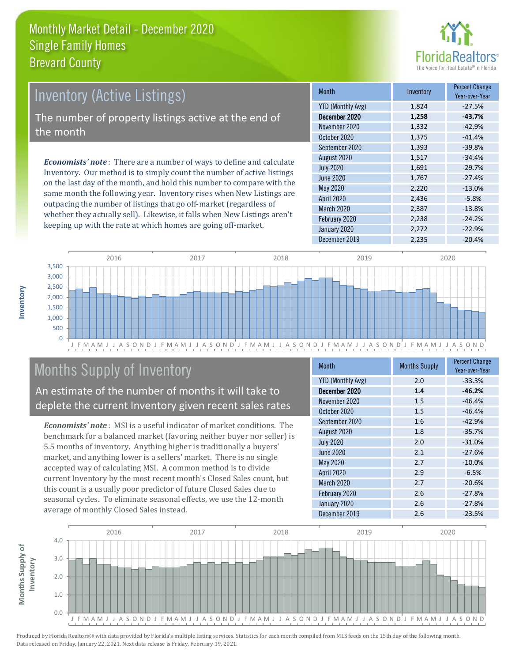

# Inventory (Active Listings)

The number of property listings active at the end of the month

*Economists' note* : There are a number of ways to define and calculate Inventory. Our method is to simply count the number of active listings on the last day of the month, and hold this number to compare with the same month the following year. Inventory rises when New Listings are outpacing the number of listings that go off-market (regardless of whether they actually sell). Likewise, it falls when New Listings aren't keeping up with the rate at which homes are going off-market.

| Month                    | Inventory | <b>Percent Change</b><br>Year-over-Year |
|--------------------------|-----------|-----------------------------------------|
| <b>YTD (Monthly Avg)</b> | 1,824     | $-27.5%$                                |
| December 2020            | 1,258     | $-43.7%$                                |
| November 2020            | 1,332     | $-42.9%$                                |
| October 2020             | 1,375     | $-41.4%$                                |
| September 2020           | 1,393     | $-39.8%$                                |
| August 2020              | 1,517     | $-34.4%$                                |
| <b>July 2020</b>         | 1,691     | $-29.7%$                                |
| June 2020                | 1,767     | $-27.4%$                                |
| May 2020                 | 2,220     | $-13.0%$                                |
| <b>April 2020</b>        | 2,436     | $-5.8%$                                 |
| March 2020               | 2,387     | $-13.8%$                                |
| February 2020            | 2,238     | $-24.2%$                                |
| January 2020             | 2,272     | $-22.9%$                                |
| December 2019            | 2,235     | $-20.4%$                                |



# Months Supply of Inventory

An estimate of the number of months it will take to deplete the current Inventory given recent sales rates

*Economists' note* : MSI is a useful indicator of market conditions. The benchmark for a balanced market (favoring neither buyer nor seller) is 5.5 months of inventory. Anything higher is traditionally a buyers' market, and anything lower is a sellers' market. There is no single accepted way of calculating MSI. A common method is to divide current Inventory by the most recent month's Closed Sales count, but this count is a usually poor predictor of future Closed Sales due to seasonal cycles. To eliminate seasonal effects, we use the 12-month average of monthly Closed Sales instead.

| <b>Month</b>             | <b>Months Supply</b> | <b>Percent Change</b><br>Year-over-Year |
|--------------------------|----------------------|-----------------------------------------|
| <b>YTD (Monthly Avg)</b> | 2.0                  | $-33.3%$                                |
| December 2020            | 1.4                  | $-46.2%$                                |
| November 2020            | 1.5                  | $-46.4%$                                |
| October 2020             | 1.5                  | $-46.4%$                                |
| September 2020           | 1.6                  | $-42.9%$                                |
| August 2020              | 1.8                  | $-35.7%$                                |
| <b>July 2020</b>         | 2.0                  | $-31.0%$                                |
| June 2020                | 2.1                  | $-27.6%$                                |
| <b>May 2020</b>          | 2.7                  | $-10.0%$                                |
| <b>April 2020</b>        | 2.9                  | $-6.5%$                                 |
| March 2020               | 2.7                  | $-20.6%$                                |
| February 2020            | 2.6                  | $-27.8%$                                |
| January 2020             | 2.6                  | $-27.8%$                                |
| December 2019            | 2.6                  | $-23.5%$                                |

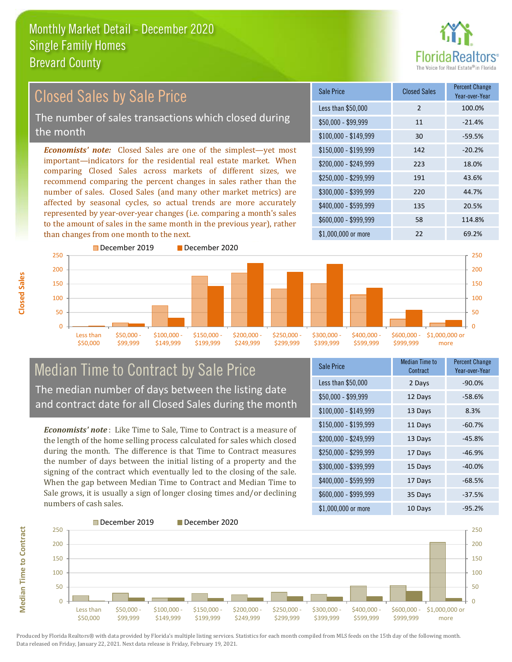

#### *Economists' note:* Closed Sales are one of the simplest—yet most important—indicators for the residential real estate market. When comparing Closed Sales across markets of different sizes, we recommend comparing the percent changes in sales rather than the number of sales. Closed Sales (and many other market metrics) are affected by seasonal cycles, so actual trends are more accurately represented by year-over-year changes (i.e. comparing a month's sales to the amount of sales in the same month in the previous year), rather than changes from one month to the next. \$1,000,000 or more 22 69.2% \$250,000 - \$299,999 191 43.6% \$300,000 - \$399,999 220 44.7% \$400,000 - \$599,999 135 20.5% \$600,000 - \$999,999 58 114.8% \$150,000 - \$199,999 142 -20.2% \$200,000 - \$249,999 223 18.0% \$100,000 - \$149,999 30 -59.5% Sale Price Closed Sales Percent Change Year-over-Year Less than \$50,000 2 100.0%  $$50.000 - $99.999$  11  $-21.4\%$ 150 200 250 December 2019 December 2020 150 200 250 Closed Sales by Sale Price The number of sales transactions which closed during the month

\$250,000 - \$299,999

\$300,000 - \$399,999

\$400,000 - \$599,999

### Median Time to Contract by Sale Price The median number of days between the listing date and contract date for all Closed Sales during the month

\$100,000 - \$149,999

\$150,000 - \$199,999

\$200,000 - \$249,999

*Economists' note* : Like Time to Sale, Time to Contract is a measure of the length of the home selling process calculated for sales which closed during the month. The difference is that Time to Contract measures the number of days between the initial listing of a property and the signing of the contract which eventually led to the closing of the sale. When the gap between Median Time to Contract and Median Time to Sale grows, it is usually a sign of longer closing times and/or declining numbers of cash sales.

| Sale Price            | Median Time to<br>Contract | <b>Percent Change</b><br>Year-over-Year |
|-----------------------|----------------------------|-----------------------------------------|
| Less than \$50,000    | 2 Days                     | $-90.0%$                                |
| $$50,000 - $99,999$   | 12 Days                    | $-58.6%$                                |
| $$100,000 - $149,999$ | 13 Days                    | 8.3%                                    |
| \$150,000 - \$199,999 | 11 Days                    | $-60.7%$                                |
| \$200,000 - \$249,999 | 13 Days                    | $-45.8%$                                |
| \$250,000 - \$299,999 | 17 Days                    | $-46.9%$                                |
| \$300,000 - \$399,999 | 15 Days                    | $-40.0%$                                |
| \$400,000 - \$599,999 | 17 Days                    | $-68.5%$                                |
| \$600,000 - \$999,999 | 35 Days                    | $-37.5%$                                |
| \$1,000,000 or more   | 10 Days                    | $-95.2%$                                |

\$600,000 - \$999,999

\$1,000,000 or more

 $\Omega$ 50 100



Produced by Florida Realtors® with data provided by Florida's multiple listing services. Statistics for each month compiled from MLS feeds on the 15th day of the following month. Data released on Friday, January 22, 2021. Next data release is Friday, February 19, 2021.

 $\Omega$ 50 100

> Less than \$50,000

\$50,000 - \$99,999

**Median Time to Contract**

**Median Time to Contract**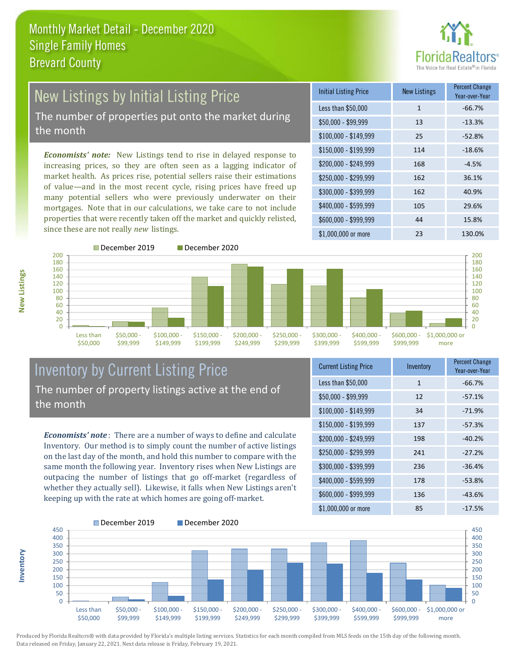

#### New Listings by Initial Listing Price The number of properties put onto the market during the month

*Economists' note:* New Listings tend to rise in delayed response to increasing prices, so they are often seen as a lagging indicator of market health. As prices rise, potential sellers raise their estimations of value—and in the most recent cycle, rising prices have freed up many potential sellers who were previously underwater on their mortgages. Note that in our calculations, we take care to not include properties that were recently taken off the market and quickly relisted, since these are not really *new* listings.

| <b>Initial Listing Price</b> | <b>New Listings</b> | <b>Percent Change</b><br>Year-over-Year |
|------------------------------|---------------------|-----------------------------------------|
| Less than \$50,000           | $\mathbf{1}$        | $-66.7%$                                |
| $$50,000 - $99,999$          | 13                  | $-13.3%$                                |
| $$100,000 - $149,999$        | 25                  | $-52.8%$                                |
| $$150,000 - $199,999$        | 114                 | $-18.6%$                                |
| \$200,000 - \$249,999        | 168                 | $-4.5%$                                 |
| \$250,000 - \$299,999        | 162                 | 36.1%                                   |
| \$300,000 - \$399,999        | 162                 | 40.9%                                   |
| \$400,000 - \$599,999        | 105                 | 29.6%                                   |
| \$600,000 - \$999,999        | 44                  | 15.8%                                   |
| \$1,000,000 or more          | 23                  | 130.0%                                  |



December 2019 December 2020



#### Inventory by Current Listing Price The number of property listings active at the end of the month

*Economists' note* : There are a number of ways to define and calculate Inventory. Our method is to simply count the number of active listings on the last day of the month, and hold this number to compare with the same month the following year. Inventory rises when New Listings are outpacing the number of listings that go off-market (regardless of whether they actually sell). Likewise, it falls when New Listings aren't keeping up with the rate at which homes are going off-market.

| <b>Current Listing Price</b> | Inventory    | <b>Percent Change</b><br>Year-over-Year |
|------------------------------|--------------|-----------------------------------------|
| Less than \$50,000           | $\mathbf{1}$ | $-66.7%$                                |
| $$50,000 - $99,999$          | 12           | $-57.1%$                                |
| $$100,000 - $149,999$        | 34           | $-71.9%$                                |
| $$150,000 - $199,999$        | 137          | $-57.3%$                                |
| \$200,000 - \$249,999        | 198          | $-40.2%$                                |
| \$250,000 - \$299,999        | 241          | $-27.2%$                                |
| \$300,000 - \$399,999        | 236          | $-36.4%$                                |
| \$400,000 - \$599,999        | 178          | $-53.8%$                                |
| \$600,000 - \$999,999        | 136          | $-43.6%$                                |
| \$1,000,000 or more          | 85           | $-17.5%$                                |



Produced by Florida Realtors® with data provided by Florida's multiple listing services. Statistics for each month compiled from MLS feeds on the 15th day of the following month. Data released on Friday, January 22, 2021. Next data release is Friday, February 19, 2021.

**Inventory**